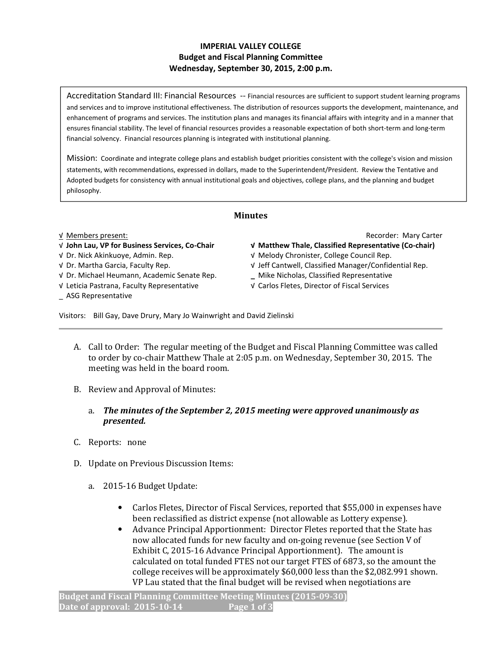# IMPERIAL VALLEY COLLEGE Budget and Fiscal Planning Committee Wednesday, September 30, 2015, 2:00 p.m.

Accreditation Standard III: Financial Resources -- Financial resources are sufficient to support student learning programs and services and to improve institutional effectiveness. The distribution of resources supports the development, maintenance, and enhancement of programs and services. The institution plans and manages its financial affairs with integrity and in a manner that ensures financial stability. The level of financial resources provides a reasonable expectation of both short-term and long-term financial solvency. Financial resources planning is integrated with institutional planning.

Mission: Coordinate and integrate college plans and establish budget priorities consistent with the college's vision and mission statements, with recommendations, expressed in dollars, made to the Superintendent/President. Review the Tentative and Adopted budgets for consistency with annual institutional goals and objectives, college plans, and the planning and budget philosophy.

### Minutes

- √ John Lau, VP for Business Services, Co-Chair √ Matthew Thale, Classified Representative (Co-chair)
- 
- 
- √ Dr. Michael Heumann, Academic Senate Rep. \_ Mike Nicholas, Classified Representative
- √ Leticia Pastrana, Faculty Representative √ Carlos Fletes, Director of Fiscal Services
- \_ ASG Representative

√ Members present: Recorder: Mary Carter

- 
- √ Dr. Nick Akinkuoye, Admin. Rep. √ Melody Chronister, College Council Rep.
- √ Dr. Martha Garcia, Faculty Rep. √ Jeff Cantwell, Classified Manager/Confidential Rep.
	-
	-

Visitors: Bill Gay, Dave Drury, Mary Jo Wainwright and David Zielinski

- A. Call to Order: The regular meeting of the Budget and Fiscal Planning Committee was called to order by co-chair Matthew Thale at 2:05 p.m. on Wednesday, September 30, 2015. The meeting was held in the board room.
- B. Review and Approval of Minutes:

# a. The minutes of the September 2, 2015 meeting were approved unanimously as presented.

- C. Reports: none
- D. Update on Previous Discussion Items:
	- a. 2015-16 Budget Update:
		- Carlos Fletes, Director of Fiscal Services, reported that \$55,000 in expenses have been reclassified as district expense (not allowable as Lottery expense).
		- Advance Principal Apportionment: Director Fletes reported that the State has now allocated funds for new faculty and on-going revenue (see Section V of Exhibit C, 2015-16 Advance Principal Apportionment). The amount is calculated on total funded FTES not our target FTES of 6873, so the amount the college receives will be approximately \$60,000 less than the \$2,082.991 shown. VP Lau stated that the final budget will be revised when negotiations are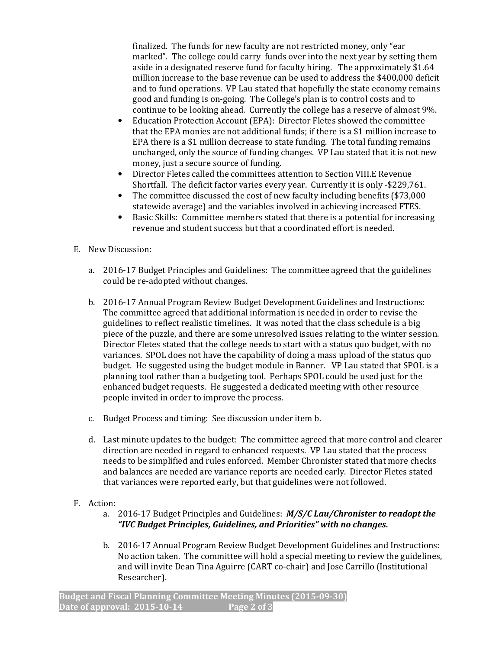finalized. The funds for new faculty are not restricted money, only "ear marked". The college could carry funds over into the next year by setting them aside in a designated reserve fund for faculty hiring. The approximately \$1.64 million increase to the base revenue can be used to address the \$400,000 deficit and to fund operations. VP Lau stated that hopefully the state economy remains good and funding is on-going. The College's plan is to control costs and to continue to be looking ahead. Currently the college has a reserve of almost 9%.

- Education Protection Account (EPA): Director Fletes showed the committee that the EPA monies are not additional funds; if there is a \$1 million increase to EPA there is a \$1 million decrease to state funding. The total funding remains unchanged, only the source of funding changes. VP Lau stated that it is not new money, just a secure source of funding.
- Director Fletes called the committees attention to Section VIII.E Revenue Shortfall. The deficit factor varies every year. Currently it is only -\$229,761.
- The committee discussed the cost of new faculty including benefits (\$73,000) statewide average) and the variables involved in achieving increased FTES.
- Basic Skills: Committee members stated that there is a potential for increasing revenue and student success but that a coordinated effort is needed.
- E. New Discussion:
	- a. 2016-17 Budget Principles and Guidelines: The committee agreed that the guidelines could be re-adopted without changes.
	- b. 2016-17 Annual Program Review Budget Development Guidelines and Instructions: The committee agreed that additional information is needed in order to revise the guidelines to reflect realistic timelines. It was noted that the class schedule is a big piece of the puzzle, and there are some unresolved issues relating to the winter session. Director Fletes stated that the college needs to start with a status quo budget, with no variances. SPOL does not have the capability of doing a mass upload of the status quo budget. He suggested using the budget module in Banner. VP Lau stated that SPOL is a planning tool rather than a budgeting tool. Perhaps SPOL could be used just for the enhanced budget requests. He suggested a dedicated meeting with other resource people invited in order to improve the process.
	- c. Budget Process and timing: See discussion under item b.
	- d. Last minute updates to the budget: The committee agreed that more control and clearer direction are needed in regard to enhanced requests. VP Lau stated that the process needs to be simplified and rules enforced. Member Chronister stated that more checks and balances are needed are variance reports are needed early. Director Fletes stated that variances were reported early, but that guidelines were not followed.
- F. Action:
	- a. 2016-17 Budget Principles and Guidelines: M/S/C Lau/Chronister to readopt the "IVC Budget Principles, Guidelines, and Priorities" with no changes.
	- b. 2016-17 Annual Program Review Budget Development Guidelines and Instructions: No action taken. The committee will hold a special meeting to review the guidelines, and will invite Dean Tina Aguirre (CART co-chair) and Jose Carrillo (Institutional Researcher).